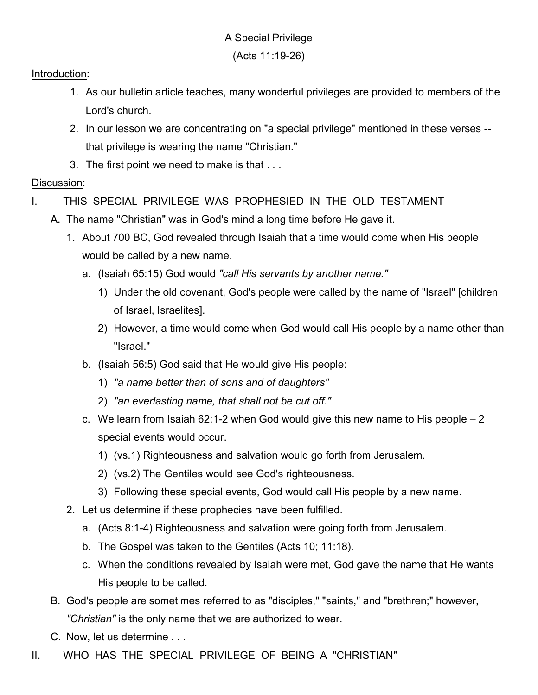(Acts 11:19-26)

## Introduction:

- 1. As our bulletin article teaches, many wonderful privileges are provided to members of the Lord's church.
- 2. In our lesson we are concentrating on "a special privilege" mentioned in these verses that privilege is wearing the name "Christian."
- 3. The first point we need to make is that . . .

## Discussion:

- I. THIS SPECIAL PRIVILEGE WAS PROPHESIED IN THE OLD TESTAMENT
	- A. The name "Christian" was in God's mind a long time before He gave it.
		- 1. About 700 BC, God revealed through Isaiah that a time would come when His people would be called by a new name.
			- a. (Isaiah 65:15) God would "call His servants by another name."
				- 1) Under the old covenant, God's people were called by the name of "Israel" [children of Israel, Israelites].
				- 2) However, a time would come when God would call His people by a name other than "Israel."
			- b. (Isaiah 56:5) God said that He would give His people:
				- 1) "a name better than of sons and of daughters"
				- 2) "an everlasting name, that shall not be cut off."
			- c. We learn from Isaiah 62:1-2 when God would give this new name to His people  $-2$ special events would occur.
				- 1) (vs.1) Righteousness and salvation would go forth from Jerusalem.
				- 2) (vs.2) The Gentiles would see God's righteousness.
				- 3) Following these special events, God would call His people by a new name.
		- 2. Let us determine if these prophecies have been fulfilled.
			- a. (Acts 8:1-4) Righteousness and salvation were going forth from Jerusalem.
			- b. The Gospel was taken to the Gentiles (Acts 10; 11:18).
			- c. When the conditions revealed by Isaiah were met, God gave the name that He wants His people to be called.
		- B. God's people are sometimes referred to as "disciples," "saints," and "brethren;" however, "Christian" is the only name that we are authorized to wear.
		- C. Now, let us determine . . .
- II. WHO HAS THE SPECIAL PRIVILEGE OF BEING A "CHRISTIAN"